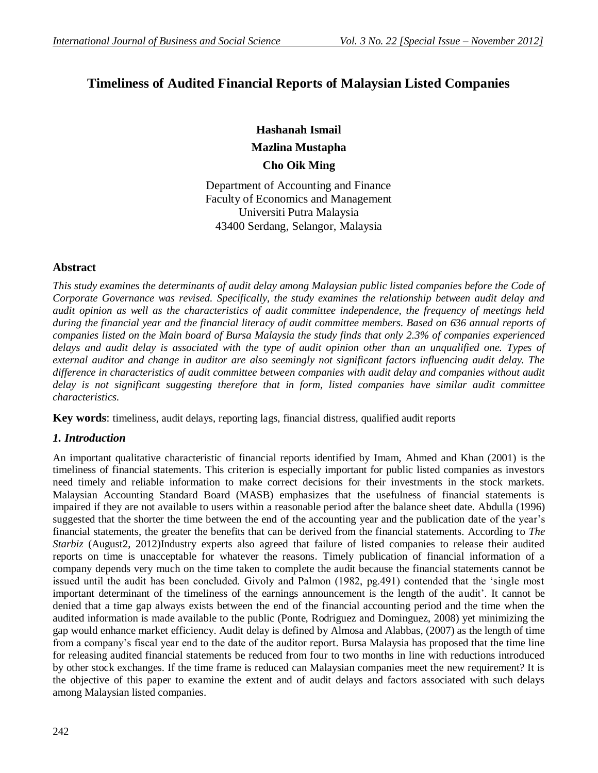# **Timeliness of Audited Financial Reports of Malaysian Listed Companies**

**Hashanah Ismail Mazlina Mustapha Cho Oik Ming**

Department of Accounting and Finance Faculty of Economics and Management Universiti Putra Malaysia 43400 Serdang, Selangor, Malaysia

# **Abstract**

*This study examines the determinants of audit delay among Malaysian public listed companies before the Code of Corporate Governance was revised. Specifically, the study examines the relationship between audit delay and audit opinion as well as the characteristics of audit committee independence, the frequency of meetings held during the financial year and the financial literacy of audit committee members. Based on 636 annual reports of companies listed on the Main board of Bursa Malaysia the study finds that only 2.3% of companies experienced delays and audit delay is associated with the type of audit opinion other than an unqualified one. Types of external auditor and change in auditor are also seemingly not significant factors influencing audit delay. The difference in characteristics of audit committee between companies with audit delay and companies without audit delay is not significant suggesting therefore that in form, listed companies have similar audit committee characteristics.* 

**Key words**: timeliness, audit delays, reporting lags, financial distress, qualified audit reports

# *1. Introduction*

An important qualitative characteristic of financial reports identified by Imam, Ahmed and Khan (2001) is the timeliness of financial statements. This criterion is especially important for public listed companies as investors need timely and reliable information to make correct decisions for their investments in the stock markets. Malaysian Accounting Standard Board (MASB) emphasizes that the usefulness of financial statements is impaired if they are not available to users within a reasonable period after the balance sheet date. Abdulla (1996) suggested that the shorter the time between the end of the accounting year and the publication date of the year's financial statements, the greater the benefits that can be derived from the financial statements. According to *The Starbiz* (August2, 2012)Industry experts also agreed that failure of listed companies to release their audited reports on time is unacceptable for whatever the reasons. Timely publication of financial information of a company depends very much on the time taken to complete the audit because the financial statements cannot be issued until the audit has been concluded. Givoly and Palmon (1982, pg.491) contended that the "single most important determinant of the timeliness of the earnings announcement is the length of the audit". It cannot be denied that a time gap always exists between the end of the financial accounting period and the time when the audited information is made available to the public (Ponte, Rodriguez and Dominguez, 2008) yet minimizing the gap would enhance market efficiency. Audit delay is defined by Almosa and Alabbas, (2007) as the length of time from a company"s fiscal year end to the date of the auditor report. Bursa Malaysia has proposed that the time line for releasing audited financial statements be reduced from four to two months in line with reductions introduced by other stock exchanges. If the time frame is reduced can Malaysian companies meet the new requirement? It is the objective of this paper to examine the extent and of audit delays and factors associated with such delays among Malaysian listed companies.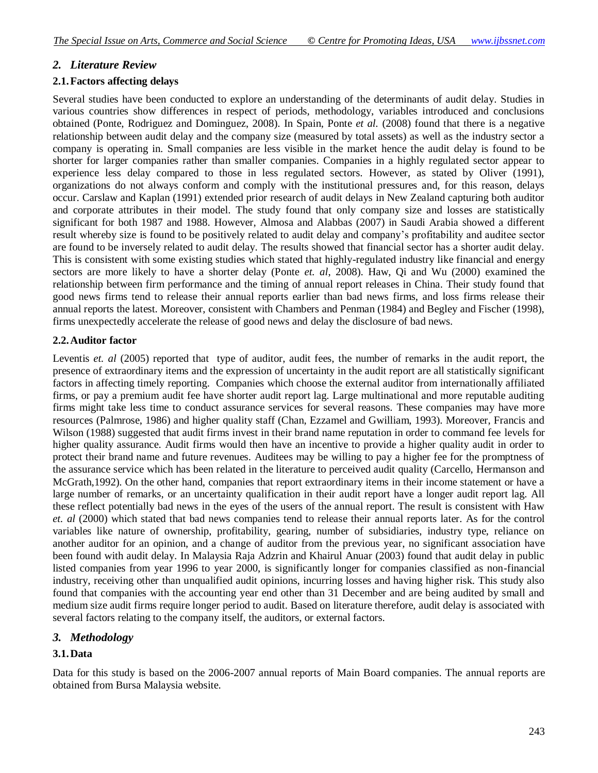## *2. Literature Review*

#### **2.1.Factors affecting delays**

Several studies have been conducted to explore an understanding of the determinants of audit delay. Studies in various countries show differences in respect of periods, methodology, variables introduced and conclusions obtained (Ponte, Rodriguez and Dominguez, 2008). In Spain, Ponte *et al.* (2008) found that there is a negative relationship between audit delay and the company size (measured by total assets) as well as the industry sector a company is operating in. Small companies are less visible in the market hence the audit delay is found to be shorter for larger companies rather than smaller companies. Companies in a highly regulated sector appear to experience less delay compared to those in less regulated sectors. However, as stated by Oliver (1991), organizations do not always conform and comply with the institutional pressures and, for this reason, delays occur. Carslaw and Kaplan (1991) extended prior research of audit delays in New Zealand capturing both auditor and corporate attributes in their model. The study found that only company size and losses are statistically significant for both 1987 and 1988. However, Almosa and Alabbas (2007) in Saudi Arabia showed a different result whereby size is found to be positively related to audit delay and company"s profitability and auditee sector are found to be inversely related to audit delay. The results showed that financial sector has a shorter audit delay. This is consistent with some existing studies which stated that highly-regulated industry like financial and energy sectors are more likely to have a shorter delay (Ponte *et. al*, 2008). Haw, Qi and Wu (2000) examined the relationship between firm performance and the timing of annual report releases in China. Their study found that good news firms tend to release their annual reports earlier than bad news firms, and loss firms release their annual reports the latest. Moreover, consistent with Chambers and Penman (1984) and Begley and Fischer (1998), firms unexpectedly accelerate the release of good news and delay the disclosure of bad news.

## **2.2.Auditor factor**

Leventis *et. al* (2005) reported that type of auditor, audit fees, the number of remarks in the audit report, the presence of extraordinary items and the expression of uncertainty in the audit report are all statistically significant factors in affecting timely reporting. Companies which choose the external auditor from internationally affiliated firms, or pay a premium audit fee have shorter audit report lag. Large multinational and more reputable auditing firms might take less time to conduct assurance services for several reasons. These companies may have more resources (Palmrose, 1986) and higher quality staff (Chan, Ezzamel and Gwilliam, 1993). Moreover, Francis and Wilson (1988) suggested that audit firms invest in their brand name reputation in order to command fee levels for higher quality assurance. Audit firms would then have an incentive to provide a higher quality audit in order to protect their brand name and future revenues. Auditees may be willing to pay a higher fee for the promptness of the assurance service which has been related in the literature to perceived audit quality (Carcello, Hermanson and McGrath,1992). On the other hand, companies that report extraordinary items in their income statement or have a large number of remarks, or an uncertainty qualification in their audit report have a longer audit report lag. All these reflect potentially bad news in the eyes of the users of the annual report. The result is consistent with Haw *et. al* (2000) which stated that bad news companies tend to release their annual reports later. As for the control variables like nature of ownership, profitability, gearing, number of subsidiaries, industry type, reliance on another auditor for an opinion, and a change of auditor from the previous year, no significant association have been found with audit delay. In Malaysia Raja Adzrin and Khairul Anuar (2003) found that audit delay in public listed companies from year 1996 to year 2000, is significantly longer for companies classified as non-financial industry, receiving other than unqualified audit opinions, incurring losses and having higher risk. This study also found that companies with the accounting year end other than 31 December and are being audited by small and medium size audit firms require longer period to audit. Based on literature therefore, audit delay is associated with several factors relating to the company itself, the auditors, or external factors.

# *3. Methodology*

#### **3.1.Data**

Data for this study is based on the 2006-2007 annual reports of Main Board companies. The annual reports are obtained from Bursa Malaysia website.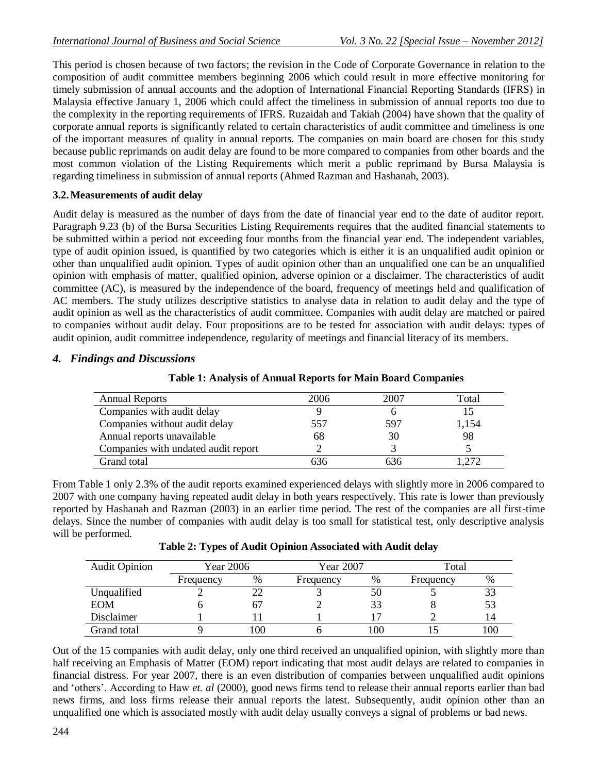This period is chosen because of two factors; the revision in the Code of Corporate Governance in relation to the composition of audit committee members beginning 2006 which could result in more effective monitoring for timely submission of annual accounts and the adoption of International Financial Reporting Standards (IFRS) in Malaysia effective January 1, 2006 which could affect the timeliness in submission of annual reports too due to the complexity in the reporting requirements of IFRS. Ruzaidah and Takiah (2004) have shown that the quality of corporate annual reports is significantly related to certain characteristics of audit committee and timeliness is one of the important measures of quality in annual reports. The companies on main board are chosen for this study because public reprimands on audit delay are found to be more compared to companies from other boards and the most common violation of the Listing Requirements which merit a public reprimand by Bursa Malaysia is regarding timeliness in submission of annual reports (Ahmed Razman and Hashanah, 2003).

# **3.2.Measurements of audit delay**

Audit delay is measured as the number of days from the date of financial year end to the date of auditor report. Paragraph 9.23 (b) of the Bursa Securities Listing Requirements requires that the audited financial statements to be submitted within a period not exceeding four months from the financial year end. The independent variables, type of audit opinion issued, is quantified by two categories which is either it is an unqualified audit opinion or other than unqualified audit opinion. Types of audit opinion other than an unqualified one can be an unqualified opinion with emphasis of matter, qualified opinion, adverse opinion or a disclaimer. The characteristics of audit committee (AC), is measured by the independence of the board, frequency of meetings held and qualification of AC members. The study utilizes descriptive statistics to analyse data in relation to audit delay and the type of audit opinion as well as the characteristics of audit committee. Companies with audit delay are matched or paired to companies without audit delay. Four propositions are to be tested for association with audit delays: types of audit opinion, audit committee independence, regularity of meetings and financial literacy of its members.

# *4. Findings and Discussions*

| <b>Annual Reports</b>               | 2006 | 2007 | Total |
|-------------------------------------|------|------|-------|
| Companies with audit delay          |      |      |       |
| Companies without audit delay       | 557  | 597  | 1,154 |
| Annual reports unavailable          | 68   | 30   | 98    |
| Companies with undated audit report |      |      |       |
| Grand total                         | 636  | 636  | 272   |

From Table 1 only 2.3% of the audit reports examined experienced delays with slightly more in 2006 compared to 2007 with one company having repeated audit delay in both years respectively. This rate is lower than previously reported by Hashanah and Razman (2003) in an earlier time period. The rest of the companies are all first-time delays. Since the number of companies with audit delay is too small for statistical test, only descriptive analysis will be performed.

**Table 2: Types of Audit Opinion Associated with Audit delay**

| <b>Audit Opinion</b> | Year 2006 |      | Year 2007 |     | Total     |      |
|----------------------|-----------|------|-----------|-----|-----------|------|
|                      | Frequency | $\%$ | Frequency | %   | Frequency | $\%$ |
| Unqualified          |           |      |           |     |           | 33   |
| <b>EOM</b>           |           |      |           |     |           | 53   |
| Disclaimer           |           |      |           |     |           |      |
| Grand total          |           | .00  |           | 100 |           | 100  |

Out of the 15 companies with audit delay, only one third received an unqualified opinion, with slightly more than half receiving an Emphasis of Matter (EOM) report indicating that most audit delays are related to companies in financial distress. For year 2007, there is an even distribution of companies between unqualified audit opinions and "others". According to Haw *et. al* (2000), good news firms tend to release their annual reports earlier than bad news firms, and loss firms release their annual reports the latest. Subsequently, audit opinion other than an unqualified one which is associated mostly with audit delay usually conveys a signal of problems or bad news.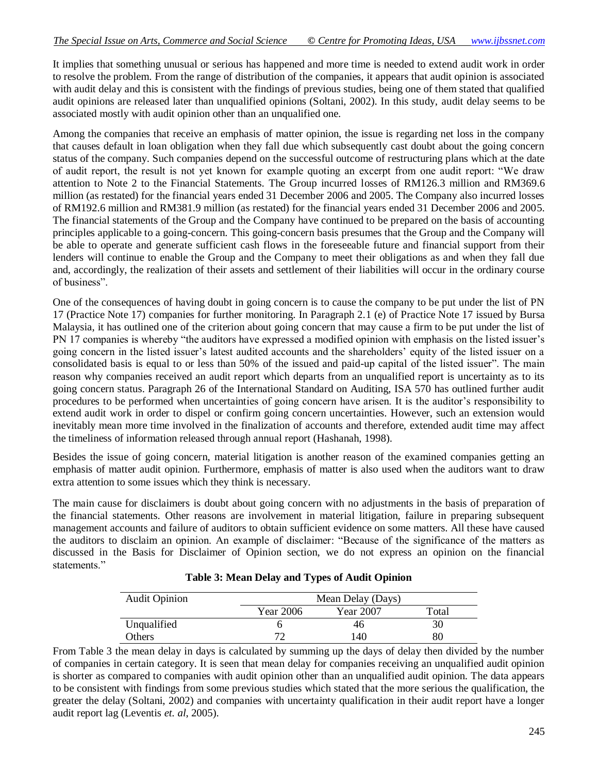It implies that something unusual or serious has happened and more time is needed to extend audit work in order to resolve the problem. From the range of distribution of the companies, it appears that audit opinion is associated with audit delay and this is consistent with the findings of previous studies, being one of them stated that qualified audit opinions are released later than unqualified opinions (Soltani, 2002). In this study, audit delay seems to be associated mostly with audit opinion other than an unqualified one.

Among the companies that receive an emphasis of matter opinion, the issue is regarding net loss in the company that causes default in loan obligation when they fall due which subsequently cast doubt about the going concern status of the company. Such companies depend on the successful outcome of restructuring plans which at the date of audit report, the result is not yet known for example quoting an excerpt from one audit report: "We draw attention to Note 2 to the Financial Statements. The Group incurred losses of RM126.3 million and RM369.6 million (as restated) for the financial years ended 31 December 2006 and 2005. The Company also incurred losses of RM192.6 million and RM381.9 million (as restated) for the financial years ended 31 December 2006 and 2005. The financial statements of the Group and the Company have continued to be prepared on the basis of accounting principles applicable to a going-concern. This going-concern basis presumes that the Group and the Company will be able to operate and generate sufficient cash flows in the foreseeable future and financial support from their lenders will continue to enable the Group and the Company to meet their obligations as and when they fall due and, accordingly, the realization of their assets and settlement of their liabilities will occur in the ordinary course of business".

One of the consequences of having doubt in going concern is to cause the company to be put under the list of PN 17 (Practice Note 17) companies for further monitoring. In Paragraph 2.1 (e) of Practice Note 17 issued by Bursa Malaysia, it has outlined one of the criterion about going concern that may cause a firm to be put under the list of PN 17 companies is whereby "the auditors have expressed a modified opinion with emphasis on the listed issuer"s going concern in the listed issuer's latest audited accounts and the shareholders' equity of the listed issuer on a consolidated basis is equal to or less than 50% of the issued and paid-up capital of the listed issuer". The main reason why companies received an audit report which departs from an unqualified report is uncertainty as to its going concern status. Paragraph 26 of the International Standard on Auditing, ISA 570 has outlined further audit procedures to be performed when uncertainties of going concern have arisen. It is the auditor"s responsibility to extend audit work in order to dispel or confirm going concern uncertainties. However, such an extension would inevitably mean more time involved in the finalization of accounts and therefore, extended audit time may affect the timeliness of information released through annual report (Hashanah, 1998).

Besides the issue of going concern, material litigation is another reason of the examined companies getting an emphasis of matter audit opinion. Furthermore, emphasis of matter is also used when the auditors want to draw extra attention to some issues which they think is necessary.

The main cause for disclaimers is doubt about going concern with no adjustments in the basis of preparation of the financial statements. Other reasons are involvement in material litigation, failure in preparing subsequent management accounts and failure of auditors to obtain sufficient evidence on some matters. All these have caused the auditors to disclaim an opinion. An example of disclaimer: "Because of the significance of the matters as discussed in the Basis for Disclaimer of Opinion section, we do not express an opinion on the financial statements."

| <b>Audit Opinion</b> | Mean Delay (Days) |           |       |  |  |
|----------------------|-------------------|-----------|-------|--|--|
|                      | Year 2006         | Year 2007 | Total |  |  |
| Unqualified          |                   | 46        | 30    |  |  |
| Others               |                   | l 40      | 80    |  |  |

| <b>Table 3: Mean Delay and Types of Audit Opinion</b> |  |  |  |
|-------------------------------------------------------|--|--|--|
|-------------------------------------------------------|--|--|--|

From Table 3 the mean delay in days is calculated by summing up the days of delay then divided by the number of companies in certain category. It is seen that mean delay for companies receiving an unqualified audit opinion is shorter as compared to companies with audit opinion other than an unqualified audit opinion. The data appears to be consistent with findings from some previous studies which stated that the more serious the qualification, the greater the delay (Soltani, 2002) and companies with uncertainty qualification in their audit report have a longer audit report lag (Leventis *et. al*, 2005).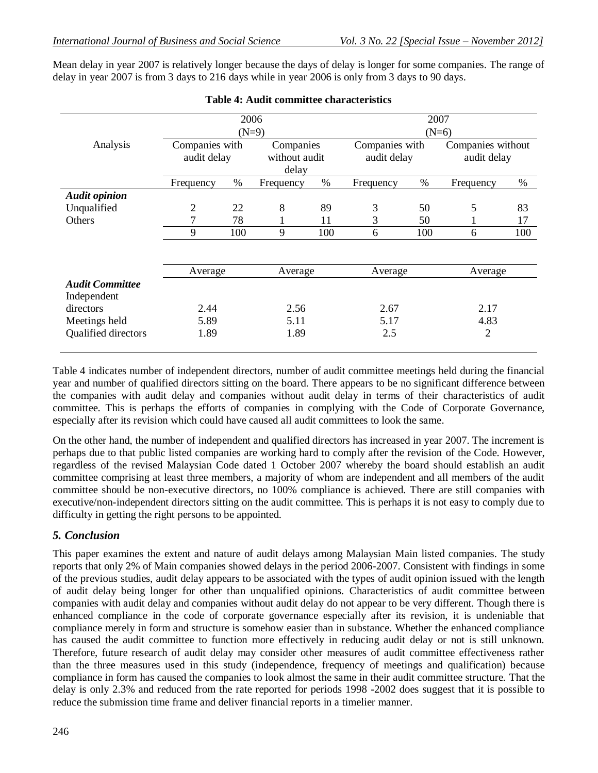Mean delay in year 2007 is relatively longer because the days of delay is longer for some companies. The range of delay in year 2007 is from 3 days to 216 days while in year 2006 is only from 3 days to 90 days.

|                                       | 2006           |      |               |         | 2007           |      |                   |      |
|---------------------------------------|----------------|------|---------------|---------|----------------|------|-------------------|------|
|                                       | $(N=9)$        |      |               |         | $(N=6)$        |      |                   |      |
| Analysis                              | Companies with |      | Companies     |         | Companies with |      | Companies without |      |
|                                       | audit delay    |      | without audit |         | audit delay    |      | audit delay       |      |
|                                       |                |      | delay         |         |                |      |                   |      |
|                                       | Frequency      | $\%$ | Frequency     | $\%$    | Frequency      | $\%$ | Frequency         | $\%$ |
| <b>Audit opinion</b>                  |                |      |               |         |                |      |                   |      |
| Unqualified                           | 2              | 22   | 8             | 89      | 3              | 50   | 5                 | 83   |
| <b>Others</b>                         |                | 78   |               | 11      | 3              | 50   |                   | 17   |
|                                       | 9              | 100  | 9             | 100     | 6              | 100  | 6                 | 100  |
|                                       |                |      |               |         |                |      |                   |      |
|                                       | Average        |      | Average       | Average |                |      | Average           |      |
| <b>Audit Committee</b><br>Independent |                |      |               |         |                |      |                   |      |
| directors                             | 2.44           |      | 2.56          |         | 2.67           |      | 2.17              |      |
| Meetings held                         | 5.89           |      | 5.11          |         | 5.17           |      | 4.83              |      |
| Qualified directors                   | 1.89           |      | 1.89          |         | 2.5            |      | $\overline{2}$    |      |

## **Table 4: Audit committee characteristics**

Table 4 indicates number of independent directors, number of audit committee meetings held during the financial year and number of qualified directors sitting on the board. There appears to be no significant difference between the companies with audit delay and companies without audit delay in terms of their characteristics of audit committee. This is perhaps the efforts of companies in complying with the Code of Corporate Governance, especially after its revision which could have caused all audit committees to look the same.

On the other hand, the number of independent and qualified directors has increased in year 2007. The increment is perhaps due to that public listed companies are working hard to comply after the revision of the Code. However, regardless of the revised Malaysian Code dated 1 October 2007 whereby the board should establish an audit committee comprising at least three members, a majority of whom are independent and all members of the audit committee should be non-executive directors, no 100% compliance is achieved. There are still companies with executive/non-independent directors sitting on the audit committee. This is perhaps it is not easy to comply due to difficulty in getting the right persons to be appointed.

# *5. Conclusion*

This paper examines the extent and nature of audit delays among Malaysian Main listed companies. The study reports that only 2% of Main companies showed delays in the period 2006-2007. Consistent with findings in some of the previous studies, audit delay appears to be associated with the types of audit opinion issued with the length of audit delay being longer for other than unqualified opinions. Characteristics of audit committee between companies with audit delay and companies without audit delay do not appear to be very different. Though there is enhanced compliance in the code of corporate governance especially after its revision, it is undeniable that compliance merely in form and structure is somehow easier than in substance. Whether the enhanced compliance has caused the audit committee to function more effectively in reducing audit delay or not is still unknown. Therefore, future research of audit delay may consider other measures of audit committee effectiveness rather than the three measures used in this study (independence, frequency of meetings and qualification) because compliance in form has caused the companies to look almost the same in their audit committee structure. That the delay is only 2.3% and reduced from the rate reported for periods 1998 -2002 does suggest that it is possible to reduce the submission time frame and deliver financial reports in a timelier manner.